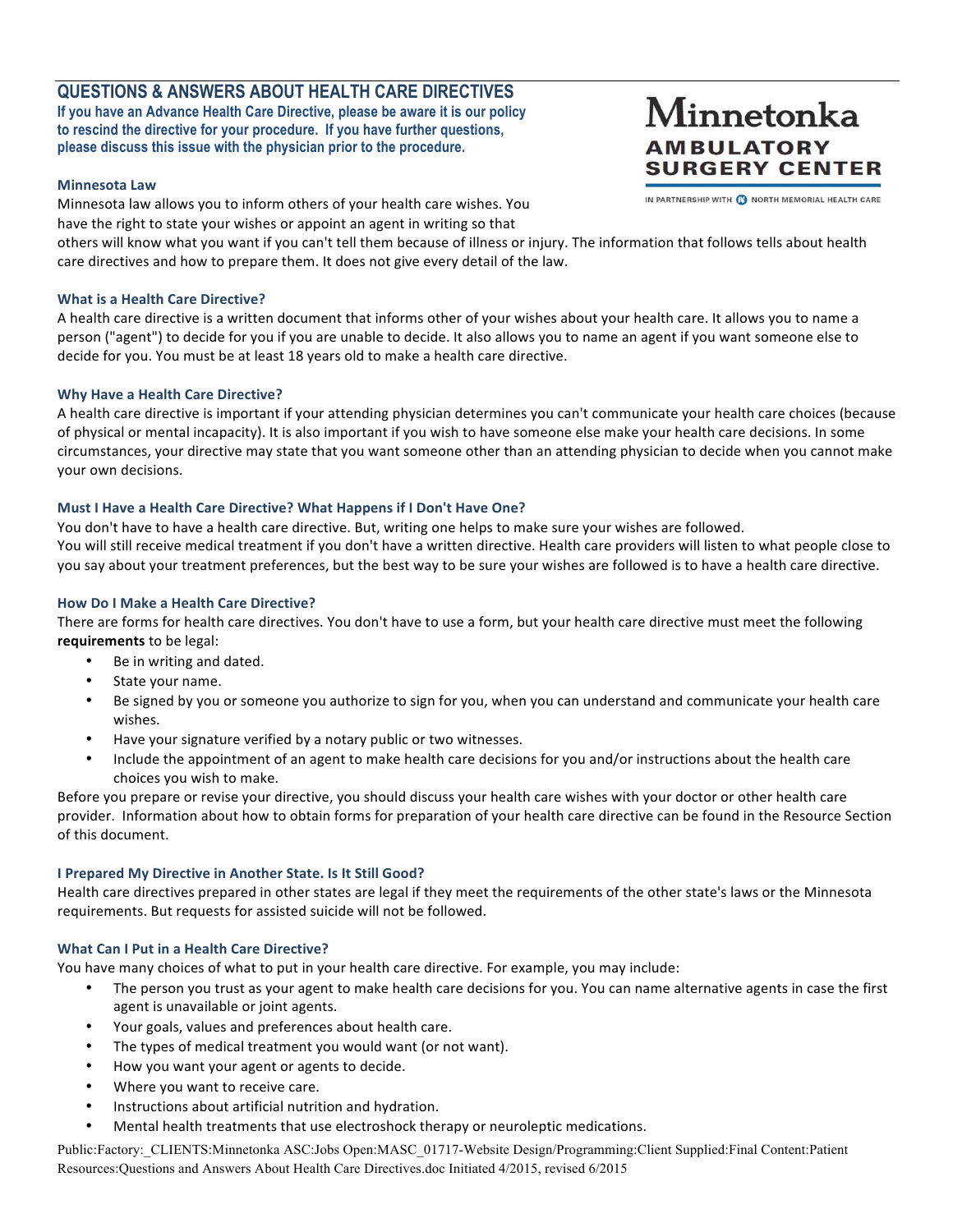# **QUESTIONS & ANSWERS ABOUT HEALTH CARE DIRECTIVES**

**If you have an Advance Health Care Directive, please be aware it is our policy to rescind the directive for your procedure. If you have further questions, please discuss this issue with the physician prior to the procedure.**

### **Minnesota Law**

Minnesota law allows you to inform others of your health care wishes. You have the right to state your wishes or appoint an agent in writing so that

others will know what you want if you can't tell them because of illness or injury. The information that follows tells about health care directives and how to prepare them. It does not give every detail of the law.

### **What is a Health Care Directive?**

A health care directive is a written document that informs other of your wishes about your health care. It allows you to name a person ("agent") to decide for you if you are unable to decide. It also allows you to name an agent if you want someone else to decide for you. You must be at least 18 years old to make a health care directive.

### **Why Have a Health Care Directive?**

A health care directive is important if your attending physician determines you can't communicate your health care choices (because of physical or mental incapacity). It is also important if you wish to have someone else make your health care decisions. In some circumstances, your directive may state that you want someone other than an attending physician to decide when you cannot make your own decisions.

### **Must I Have a Health Care Directive? What Happens if I Don't Have One?**

You don't have to have a health care directive. But, writing one helps to make sure your wishes are followed. You will still receive medical treatment if you don't have a written directive. Health care providers will listen to what people close to you say about your treatment preferences, but the best way to be sure your wishes are followed is to have a health care directive.

# **How Do I Make a Health Care Directive?**

There are forms for health care directives. You don't have to use a form, but your health care directive must meet the following requirements to be legal:

- Be in writing and dated.
- State your name.
- Be signed by you or someone you authorize to sign for you, when you can understand and communicate your health care wishes.
- Have your signature verified by a notary public or two witnesses.
- Include the appointment of an agent to make health care decisions for you and/or instructions about the health care choices you wish to make.

Before you prepare or revise your directive, you should discuss your health care wishes with your doctor or other health care provider. Information about how to obtain forms for preparation of your health care directive can be found in the Resource Section of this document.

# **I Prepared My Directive in Another State. Is It Still Good?**

Health care directives prepared in other states are legal if they meet the requirements of the other state's laws or the Minnesota requirements. But requests for assisted suicide will not be followed.

# **What Can I Put in a Health Care Directive?**

You have many choices of what to put in your health care directive. For example, you may include:

- The person you trust as your agent to make health care decisions for you. You can name alternative agents in case the first agent is unavailable or joint agents.
- Your goals, values and preferences about health care.
- The types of medical treatment you would want (or not want).
- How you want your agent or agents to decide.
- Where you want to receive care.
- Instructions about artificial nutrition and hydration.
- Mental health treatments that use electroshock therapy or neuroleptic medications.

Public:Factory: CLIENTS:Minnetonka ASC:Jobs Open:MASC\_01717-Website Design/Programming:Client Supplied:Final Content:Patient Resources:Questions and Answers About Health Care Directives.doc Initiated 4/2015, revised 6/2015

# Minnetonka **AMBULATORY SURGERY CENTER**

IN PARTNERSHIP WITH **(B)** NORTH MEMORIAL HEALTH CARE